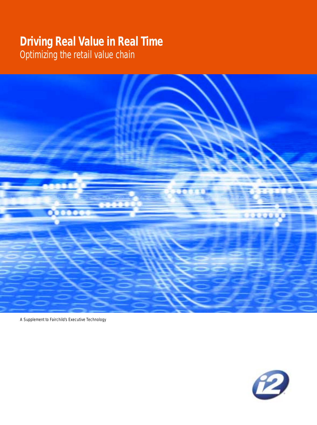## **Driving Real Value in Real Time**

Optimizing the retail value chain



A Supplement to Fairchild's Executive Technology

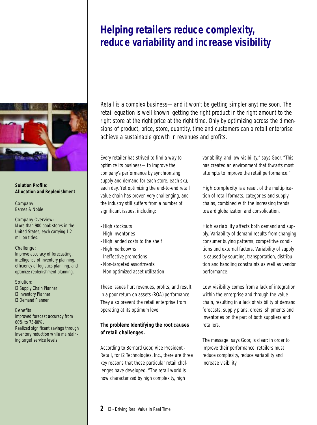## **Helping retailers reduce complexity, reduce variability and increase visibility**



#### **Solution Profile: Allocation and Replenishment**

Company: Barnes & Noble

Company Overview: More than 900 book stores in the United States, each carrying 1.2 million titles.

#### Challenge:

Improve accuracy of forecasting, intelligence of inventory planning, efficiency of logistics planning, and optimize replenishment planning.

Solution:

i2 Supply Chain Planner i2 Inventory Planner i2 Demand Planner

Benefits:

Improved forecast accuracy from 60% to 75-80%. Realized significant savings through inventory reduction while maintaining target service levels.

Retail is a complex business—and it won't be getting simpler anytime soon. The retail equation is well known: getting the right product in the right amount to the right store at the right price at the right time. Only by optimizing across the dimensions of product, price, store, quantity, time and customers can a retail enterprise achieve a sustainable growth in revenues and profits.

Every retailer has strived to find a way to optimize its business—to improve the company's performance by synchronizing supply and demand for each store, each sku, each day. Yet optimizing the end-to-end retail value chain has proven very challenging, and the industry still suffers from a number of significant issues, including:

- –High stockouts
- –High inventories
- –High landed costs to the shelf
- –High markdowns
- –Ineffective promotions
- –Non-targeted assortments
- –Non-optimized asset utilization

These issues hurt revenues, profits, and result in a poor return on assets (ROA) performance. They also prevent the retail enterprise from operating at its optimum level.

#### **The problem: Identifying the root causes of retail challenges.**

According to Bernard Goor, Vice President - Retail, for i2 Technologies, Inc., there are three key reasons that these particular retail challenges have developed. "The retail world is now characterized by high complexity, high

variability, and low visibility," says Goor. "This has created an environment that thwarts most attempts to improve the retail performance."

*High complexity* is a result of the multiplication of retail formats, categories and supply chains, combined with the increasing trends toward globalization and consolidation.

*High variability* affects both demand and supply. Variability of demand results from changing consumer buying patterns, competitive conditions and external factors. Variability of supply is caused by sourcing, transportation, distribution and handling constraints as well as vendor performance.

*Low visibility* comes from a lack of integration within the enterprise and through the value chain, resulting in a lack of visibility of demand forecasts, supply plans, orders, shipments and inventories on the part of both suppliers and retailers.

The message, says Goor, is clear: in order to improve their performance, retailers must reduce complexity, reduce variability and increase visibility.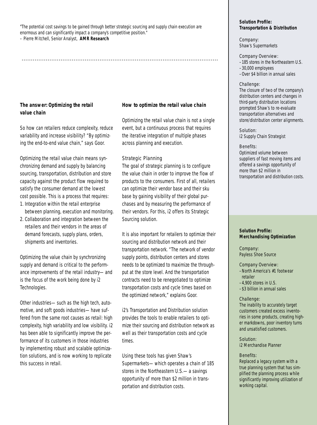"The potential cost savings to be gained through better strategic sourcing and supply chain execution are enormous and can significantly impact a company's competitive position." – Pierre Mitchell, Senior Analyst, **AMR Research**

..........................................................................................................

**The answer: Optimizing the retail value chain**

So how can retailers reduce complexity, reduce variability and increase visibility? "By optimizing the end-to-end value chain," says Goor.

Optimizing the retail value chain means synchronizing demand and supply by balancing sourcing, transportation, distribution and store capacity against the product flow required to satisfy the consumer demand at the lowest cost possible. This is a process that requires:

- 1. Integration within the retail enterprise between planning, execution and monitoring.
- 2. Collaboration and integration between the retailers and their vendors in the areas of demand forecasts, supply plans, orders, shipments and inventories.

Optimizing the value chain by synchronizing supply and demand is critical to the performance improvements of the retail industry—and is the focus of the work being done by i2 Technologies.

Other industries—such as the high tech, automotive, and soft goods industries—have suffered from the same root causes as retail: high complexity, high variability and low visibility. i2 has been able to significantly improve the performance of its customers in those industries by implementing robust and scalable optimization solutions, and is now working to replicate this success in retail.

#### **How to optimize the retail value chain**

Optimizing the retail value chain is not a single event, but a continuous process that requires the iterative integration of multiple phases across planning and execution.

#### *Strategic Planning*

The goal of strategic planning is to configure the value chain in order to improve the flow of products to the consumers. First of all, retailers can optimize their vendor base and their sku base by gaining visibility of their global purchases and by measuring the performance of their vendors. For this, i2 offers its Strategic Sourcing solution.

It is also important for retailers to optimize their sourcing and distribution network and their transportation network. "The network of vendor supply points, distribution centers and stores needs to be optimized to maximize the throughput at the store level. And the transportation contracts need to be renegotiated to optimize transportation costs and cycle times based on the optimized network," explains Goor.

i2's Transportation and Distribution solution provides the tools to enable retailers to optimize their sourcing and distribution network as well as their transportation costs and cycle times.

Using these tools has given Shaw's Supermarkets—which operates a chain of 185 stores in the Northeastern U.S.—a savings opportunity of more than \$2 million in transportation and distribution costs.

#### **Solution Profile: Transportation & Distribution**

Company: Shaw's Supermarkets

Company Overview: –185 stores in the Northeastern U.S.

–30,000 employees –Over \$4 billion in annual sales

#### Challenge:

The closure of two of the company's distribution centers and changes in third-party distribution locations prompted Shaw's to re-evaluate transportation alternatives and store/distribution center alignments.

Solution: i2 Supply Chain Strategist

#### Benefits:

Optimized volume between suppliers of fast moving items and offered a savings opportunity of more than \$2 million in transportation and distribution costs.

#### **Solution Profile: Merchandising Optimization**

Company: Payless Shoe Source

Company Overview:

- –North America's #1 footwear retailer
- –4,900 stores in U.S.
- –\$3 billion in annual sales

#### Challenge:

The inability to accurately target customers created excess inventories in some products, creating higher markdowns, poor inventory turns and unsatisfied customers.

Solution: i2 Merchandise Planner

#### Benefits:

Replaced a legacy system with a true planning system that has simplified the planning process while significantly improving utilization of working capital.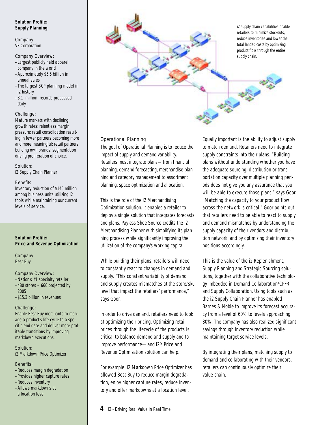#### **Solution Profile: Supply Planning**

#### Company: VF Corporation

#### Company Overview:

- –Largest publicly held apparel company in the world
- –Approximately \$5.5 billion in annual sales
- –The largest SCP planning model in i2 history
- –3.1 million records processed daily

#### Challenge:

Mature markets with declining growth rates; relentless margin pressure; retail consolidation resulting in fewer partners becoming more and more meaningful; retail partners building own brands; segmentation driving proliferation of choice.

Solution: i2 Supply Chain Planner

#### Benefits:

Inventory reduction of \$145 million among business units utilizing i2 tools while maintaining our current levels of service.

#### **Solution Profile: Price and Revenue Optimization**

Company: Best Buy

#### Company Overview:

- –Nation's #1 specialty retailer –480 stores – 660 projected by 2005
- –\$15.3 billion in revenues

#### Challenge:

Enable Best Buy merchants to manage a product's life cycle to a specific end date and deliver more profitable transitions by improving markdown executions.

#### Solution:

i2 Markdown Price Optimizer

#### Benefits:

- –Reduces margin degradation
- –Provides higher capture rates
- –Reduces inventory
- –Allows markdowns at a location level



#### *Operational Planning*

The goal of Operational Planning is to reduce the impact of supply and demand variability. Retailers must integrate plans—from financial planning, demand forecasting, merchandise planning and category management to assortment planning, space optimization and allocation.

This is the role of the i2 Merchandising Optimization solution. It enables a retailer to deploy a single solution that integrates forecasts and plans. Payless Shoe Source credits the i2 Merchandising Planner with simplifying its planning process while significantly improving the utilization of the company's working capital.

While building their plans, retailers will need to constantly react to changes in demand and supply. "This constant variability of demand and supply creates mismatches at the store/sku level that impact the retailers' performance," says Goor.

In order to drive demand, retailers need to look at optimizing their pricing. Optimizing retail prices through the lifecycle of the products is critical to balance demand and supply and to improve performance—and i2's Price and Revenue Optimization solution can help.

For example, i2 Markdown Price Optimizer has allowed Best Buy to reduce margin degradation, enjoy higher capture rates, reduce inventory and offer markdowns at a location level.

Equally important is the ability to adjust supply to match demand. Retailers need to integrate supply constraints into their plans. "Building plans without understanding whether you have the adequate sourcing, distribution or transportation capacity over multiple planning periods does not give you any assurance that you will be able to execute those plans," says Goor. "Matching the capacity to your product flow across the network is critical." Goor points out that retailers need to be able to react to supply and demand mismatches by understanding the supply capacity of their vendors and distribution network, and by optimizing their inventory positions accordingly.

This is the value of the i2 Replenishment, Supply Planning and Strategic Sourcing solutions, together with the collaborative technology imbedded in Demand Collaboration/CPFR and Supply Collaboration. Using tools such as the i2 Supply Chain Planner has enabled Barnes & Noble to improve its forecast accuracy from a level of 60% to levels approaching 80%. The company has also realized significant savings through inventory reduction while maintaining target service levels.

By integrating their plans, matching supply to demand and collaborating with their vendors, retailers can continuously optimize their value chain.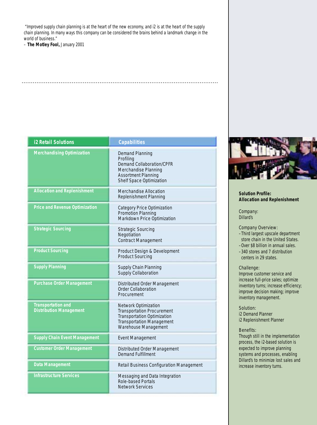"Improved supply chain planning is at the heart of the new economy, and i2 is at the heart of the supply chain planning. In many ways this company can be considered the brains behind a landmark change in the world of business."

..........................................................................................................

– **The Motley Fool,** January 2001

| <b>i2 Retail Solutions</b>                                  | <b>Capabilities</b>                                                                                                                                         |
|-------------------------------------------------------------|-------------------------------------------------------------------------------------------------------------------------------------------------------------|
| <b>Merchandising Optimization</b>                           | <b>Demand Planning</b><br>Profiling<br>Demand Collaboration/CPFR<br>Merchandise Planning<br><b>Assortment Planning</b><br><b>Shelf Space Optimization</b>   |
| <b>Allocation and Replenishment</b>                         | Merchandise Allocation<br><b>Replenishment Planning</b>                                                                                                     |
| <b>Price and Revenue Optimization</b>                       | <b>Category Price Optimization</b><br>Promotion Planning<br>Markdown Price Optimization                                                                     |
| <b>Strategic Sourcing</b>                                   | <b>Strategic Sourcing</b><br>Negotiation<br><b>Contract Management</b>                                                                                      |
| <b>Product Sourcing</b>                                     | Product Design & Development<br><b>Product Sourcing</b>                                                                                                     |
| <b>Supply Planning</b>                                      | Supply Chain Planning<br>Supply Collaboration                                                                                                               |
| <b>Purchase Order Management</b>                            | Distributed Order Management<br><b>Order Collaboration</b><br>Procurement                                                                                   |
| <b>Transportation and</b><br><b>Distribution Management</b> | Network Optimization<br><b>Transportation Procurement</b><br><b>Transportation Optimization</b><br><b>Transportation Management</b><br>Warehouse Management |
| <b>Supply Chain Event Management</b>                        | <b>Event Management</b>                                                                                                                                     |
| <b>Customer Order Management</b>                            | Distributed Order Management<br><b>Demand Fulfillment</b>                                                                                                   |
| <b>Data Management</b>                                      | Retail Business Configuration Management                                                                                                                    |
| <b>Infrastructure Services</b>                              | Messaging and Data Integration<br>Role-based Portals<br><b>Network Services</b>                                                                             |



#### **Solution Profile: Allocation and Replenishment**

Company: Dillard's

Company Overview:

- –Third largest upscale department store chain in the United States.
- –Over \$8 billion in annual sales. –340 stores and 7 distribution
- centers in 29 states.

#### Challenge:

Improve customer service and increase full-price sales; optimize inventory turns; increase efficiency; improve decision making; improve inventory management.

#### Solution:

i2 Demand Planner i2 Replenishment Planner

#### Benefits:

Though still in the implementation process, the i2-based solution is expected to improve planning systems and processes, enabling Dillard's to minimize lost sales and increase inventory turns.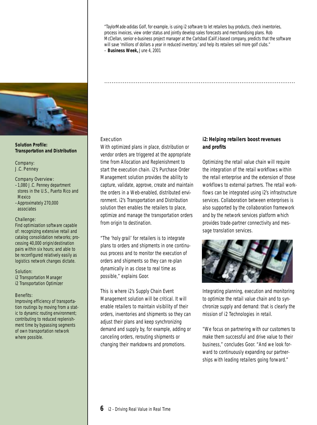"TaylorMade-adidas Golf, for example, is using i2 software to let retailers buy products, check inventories, process invoices, view order status and jointly develop sales forecasts and merchandising plans. Rob McClellan, senior e-business project manager at the Carlsbad (Calif.)-based company, predicts that the software will save 'millions of dollars a year in reduced inventory,' and help its retailers sell more golf clubs." – **Business Week,** June 4, 2001

.......................................................................................................



#### **Solution Profile: Transportation and Distribution**

Company: J.C. Penney

#### Company Overview:

- –1,080 J.C. Penney department stores in the U.S., Puerto Rico and Mexico
- –Approximately 270,000 associates

#### Challenge:

Find optimization software capable of: recognizing extensive retail and catalog consolidation networks; processing 40,000 origin/destination pairs within six hours; and able to be reconfigured relatively easily as logistics network changes dictate.

#### Solution:

i2 Transportation Manager i2 Transportation Optimizer

#### Benefits:

Improving efficiency of transportation routings by moving from a static to dynamic routing environment; contributing to reduced replenishment time by bypassing segments of own transportation network where possible.

#### *Execution*

With optimized plans in place, distribution or vendor orders are triggered at the appropriate time from Allocation and Replenishment to start the execution chain. i2's Purchase Order Management solution provides the ability to capture, validate, approve, create and maintain the orders in a Web-enabled, distributed environment. i2's Transportation and Distribution solution then enables the retailers to place, optimize and manage the transportation orders from origin to destination.

"The 'holy grail' for retailers is to integrate plans to orders and shipments in one continuous process and to monitor the execution of orders and shipments so they can re-plan dynamically in as close to real time as possible," explains Goor.

This is where i2's Supply Chain Event Management solution will be critical. It will enable retailers to maintain visibility of their orders, inventories and shipments so they can adjust their plans and keep synchronizing demand and supply by, for example, adding or canceling orders, rerouting shipments or changing their markdowns and promotions.

#### **i2: Helping retailers boost revenues and profits**

Optimizing the retail value chain will require the integration of the retail workflows within the retail enterprise and the extension of those workflows to external partners. The retail workflows can be integrated using i2's infrastructure services. Collaboration between enterprises is also supported by the collaboration framework and by the network services platform which provides trade-partner connectivity and message translation services.



Integrating planning, execution and monitoring to optimize the retail value chain and to synchronize supply and demand: that is clearly the mission of i2 Technologies in retail.

"We focus on partnering with our customers to make them successful and drive value to their business," concludes Goor. "And we look forward to continuously expanding our partnerships with leading retailers going forward."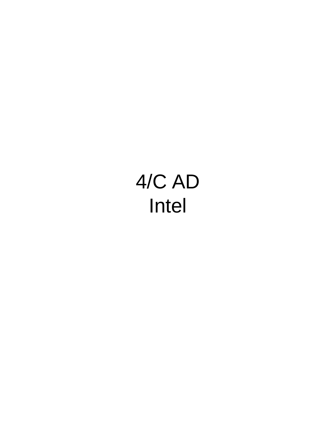# 4/C AD Intel